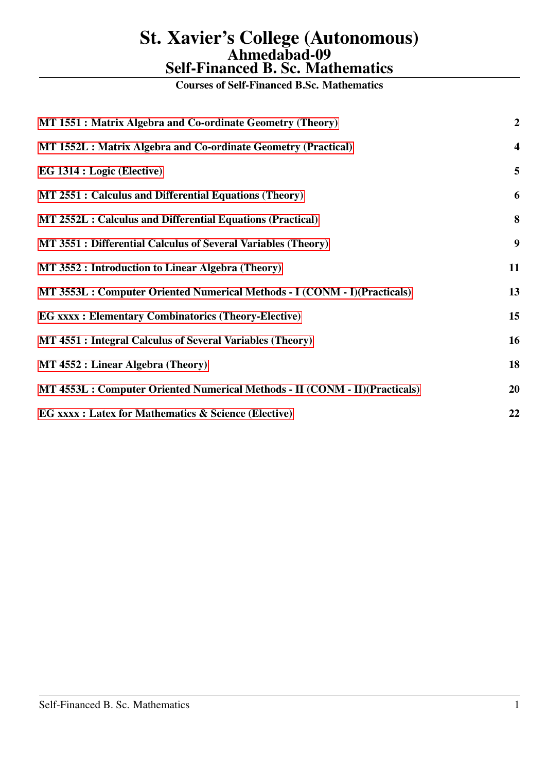Courses of Self-Financed B.Sc. Mathematics

| MT 1551 : Matrix Algebra and Co-ordinate Geometry (Theory)                  | $\overline{2}$          |
|-----------------------------------------------------------------------------|-------------------------|
| MT 1552L : Matrix Algebra and Co-ordinate Geometry (Practical)              | $\overline{\mathbf{4}}$ |
| EG 1314 : Logic (Elective)                                                  | 5                       |
| MT 2551 : Calculus and Differential Equations (Theory)                      | 6                       |
| MT 2552L : Calculus and Differential Equations (Practical)                  | 8                       |
| MT 3551 : Differential Calculus of Several Variables (Theory)               | 9                       |
| MT 3552 : Introduction to Linear Algebra (Theory)                           | 11                      |
| MT 3553L : Computer Oriented Numerical Methods - I (CONM - I)(Practicals)   | 13                      |
| <b>EG xxxx : Elementary Combinatorics (Theory-Elective)</b>                 | 15                      |
| MT 4551 : Integral Calculus of Several Variables (Theory)                   | 16                      |
| MT 4552 : Linear Algebra (Theory)                                           | 18                      |
| MT 4553L : Computer Oriented Numerical Methods - II (CONM - II)(Practicals) | 20                      |
| <b>EG xxxx : Latex for Mathematics &amp; Science (Elective)</b>             | 22                      |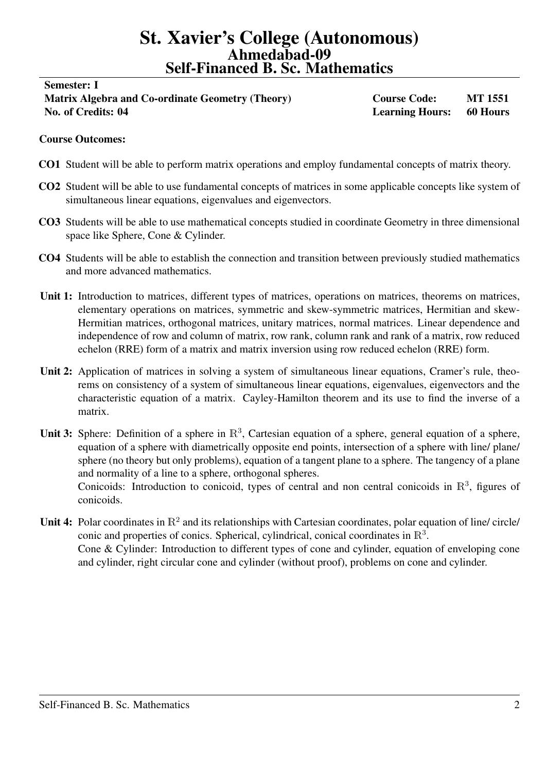# <span id="page-1-0"></span>Semester: I

# Matrix Algebra and Co-ordinate Geometry (Theory) Course Code: MT 1551 No. of Credits: 04 Learning Hours: 60 Hours

## Course Outcomes:

- CO1 Student will be able to perform matrix operations and employ fundamental concepts of matrix theory.
- CO2 Student will be able to use fundamental concepts of matrices in some applicable concepts like system of simultaneous linear equations, eigenvalues and eigenvectors.
- CO3 Students will be able to use mathematical concepts studied in coordinate Geometry in three dimensional space like Sphere, Cone & Cylinder.
- CO4 Students will be able to establish the connection and transition between previously studied mathematics and more advanced mathematics.
- Unit 1: Introduction to matrices, different types of matrices, operations on matrices, theorems on matrices, elementary operations on matrices, symmetric and skew-symmetric matrices, Hermitian and skew-Hermitian matrices, orthogonal matrices, unitary matrices, normal matrices. Linear dependence and independence of row and column of matrix, row rank, column rank and rank of a matrix, row reduced echelon (RRE) form of a matrix and matrix inversion using row reduced echelon (RRE) form.
- Unit 2: Application of matrices in solving a system of simultaneous linear equations, Cramer's rule, theorems on consistency of a system of simultaneous linear equations, eigenvalues, eigenvectors and the characteristic equation of a matrix. Cayley-Hamilton theorem and its use to find the inverse of a matrix.
- Unit 3: Sphere: Definition of a sphere in  $\mathbb{R}^3$ , Cartesian equation of a sphere, general equation of a sphere, equation of a sphere with diametrically opposite end points, intersection of a sphere with line/ plane/ sphere (no theory but only problems), equation of a tangent plane to a sphere. The tangency of a plane and normality of a line to a sphere, orthogonal spheres. Conicoids: Introduction to conicoid, types of central and non central conicoids in  $\mathbb{R}^3$ , figures of conicoids.
- Unit 4: Polar coordinates in  $\mathbb{R}^2$  and its relationships with Cartesian coordinates, polar equation of line/ circle/ conic and properties of conics. Spherical, cylindrical, conical coordinates in  $\mathbb{R}^3$ . Cone & Cylinder: Introduction to different types of cone and cylinder, equation of enveloping cone and cylinder, right circular cone and cylinder (without proof), problems on cone and cylinder.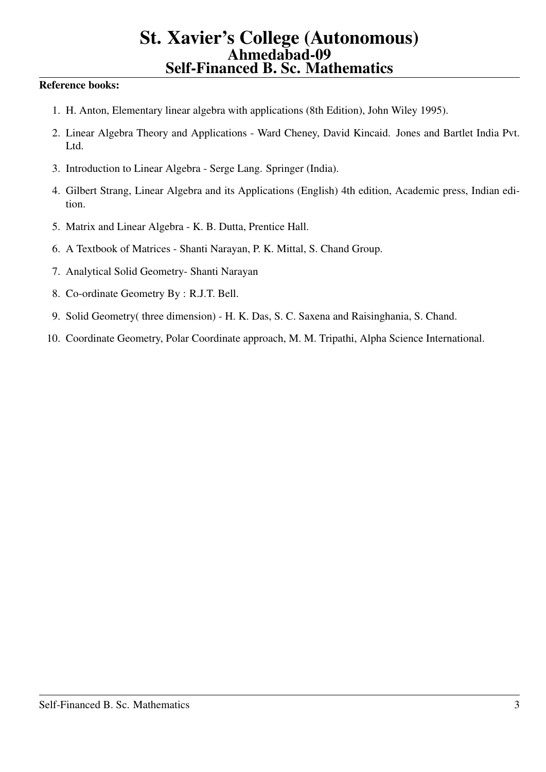- 1. H. Anton, Elementary linear algebra with applications (8th Edition), John Wiley 1995).
- 2. Linear Algebra Theory and Applications Ward Cheney, David Kincaid. Jones and Bartlet India Pvt. Ltd.
- 3. Introduction to Linear Algebra Serge Lang. Springer (India).
- 4. Gilbert Strang, Linear Algebra and its Applications (English) 4th edition, Academic press, Indian edition.
- 5. Matrix and Linear Algebra K. B. Dutta, Prentice Hall.
- 6. A Textbook of Matrices Shanti Narayan, P. K. Mittal, S. Chand Group.
- 7. Analytical Solid Geometry- Shanti Narayan
- 8. Co-ordinate Geometry By : R.J.T. Bell.
- 9. Solid Geometry( three dimension) H. K. Das, S. C. Saxena and Raisinghania, S. Chand.
- 10. Coordinate Geometry, Polar Coordinate approach, M. M. Tripathi, Alpha Science International.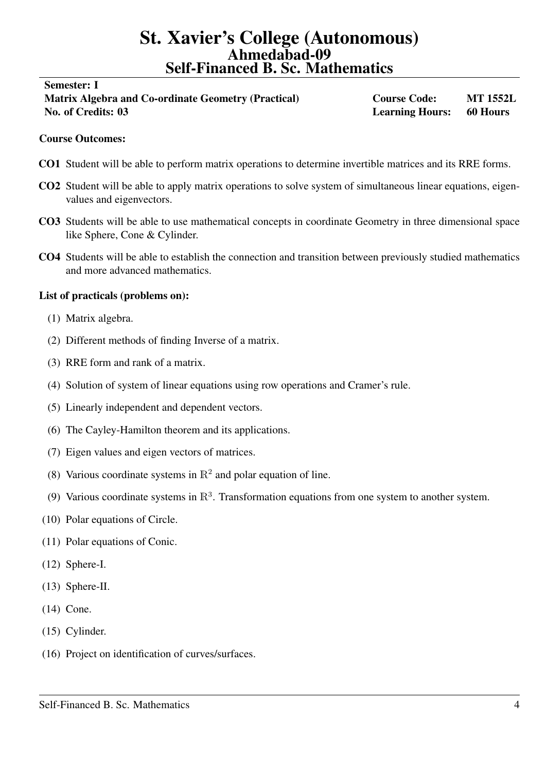#### <span id="page-3-0"></span>Semester: I

Matrix Algebra and Co-ordinate Geometry (Practical) Course Code: MT 1552L No. of Credits: 03 Learning Hours: 60 Hours

#### Course Outcomes:

- CO1 Student will be able to perform matrix operations to determine invertible matrices and its RRE forms.
- CO2 Student will be able to apply matrix operations to solve system of simultaneous linear equations, eigenvalues and eigenvectors.
- CO3 Students will be able to use mathematical concepts in coordinate Geometry in three dimensional space like Sphere, Cone & Cylinder.
- CO4 Students will be able to establish the connection and transition between previously studied mathematics and more advanced mathematics.

#### List of practicals (problems on):

- (1) Matrix algebra.
- (2) Different methods of finding Inverse of a matrix.
- (3) RRE form and rank of a matrix.
- (4) Solution of system of linear equations using row operations and Cramer's rule.
- (5) Linearly independent and dependent vectors.
- (6) The Cayley-Hamilton theorem and its applications.
- (7) Eigen values and eigen vectors of matrices.
- (8) Various coordinate systems in  $\mathbb{R}^2$  and polar equation of line.
- (9) Various coordinate systems in  $\mathbb{R}^3$ . Transformation equations from one system to another system.
- (10) Polar equations of Circle.
- (11) Polar equations of Conic.
- (12) Sphere-I.
- (13) Sphere-II.
- (14) Cone.
- (15) Cylinder.
- (16) Project on identification of curves/surfaces.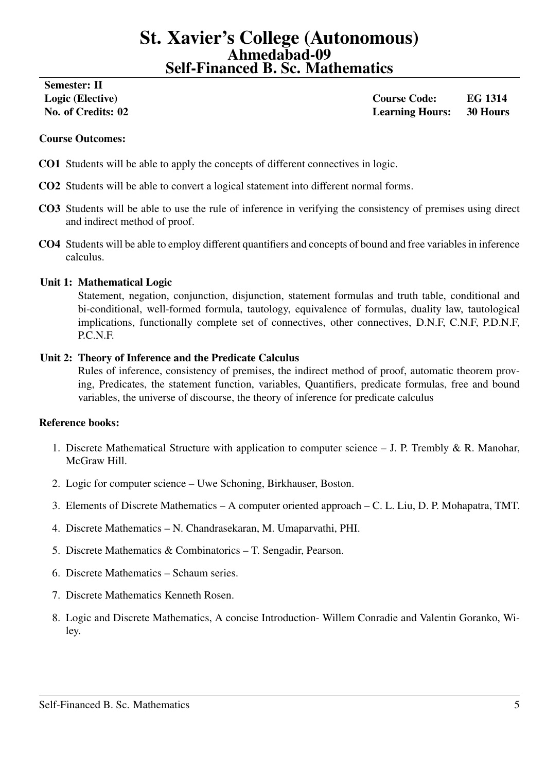# <span id="page-4-0"></span>Semester: II

Logic (Elective) Course Code: EG 1314 No. of Credits: 02 Learning Hours: 30 Hours

# Course Outcomes:

- CO1 Students will be able to apply the concepts of different connectives in logic.
- CO2 Students will be able to convert a logical statement into different normal forms.
- CO3 Students will be able to use the rule of inference in verifying the consistency of premises using direct and indirect method of proof.
- CO4 Students will be able to employ different quantifiers and concepts of bound and free variables in inference calculus.

# Unit 1: Mathematical Logic

Statement, negation, conjunction, disjunction, statement formulas and truth table, conditional and bi-conditional, well-formed formula, tautology, equivalence of formulas, duality law, tautological implications, functionally complete set of connectives, other connectives, D.N.F, C.N.F, P.D.N.F, P.C.N.F.

## Unit 2: Theory of Inference and the Predicate Calculus

Rules of inference, consistency of premises, the indirect method of proof, automatic theorem proving, Predicates, the statement function, variables, Quantifiers, predicate formulas, free and bound variables, the universe of discourse, the theory of inference for predicate calculus

- 1. Discrete Mathematical Structure with application to computer science  $-$  J. P. Trembly & R. Manohar, McGraw Hill.
- 2. Logic for computer science Uwe Schoning, Birkhauser, Boston.
- 3. Elements of Discrete Mathematics A computer oriented approach C. L. Liu, D. P. Mohapatra, TMT.
- 4. Discrete Mathematics N. Chandrasekaran, M. Umaparvathi, PHI.
- 5. Discrete Mathematics & Combinatorics T. Sengadir, Pearson.
- 6. Discrete Mathematics Schaum series.
- 7. Discrete Mathematics Kenneth Rosen.
- 8. Logic and Discrete Mathematics, A concise Introduction- Willem Conradie and Valentin Goranko, Wiley.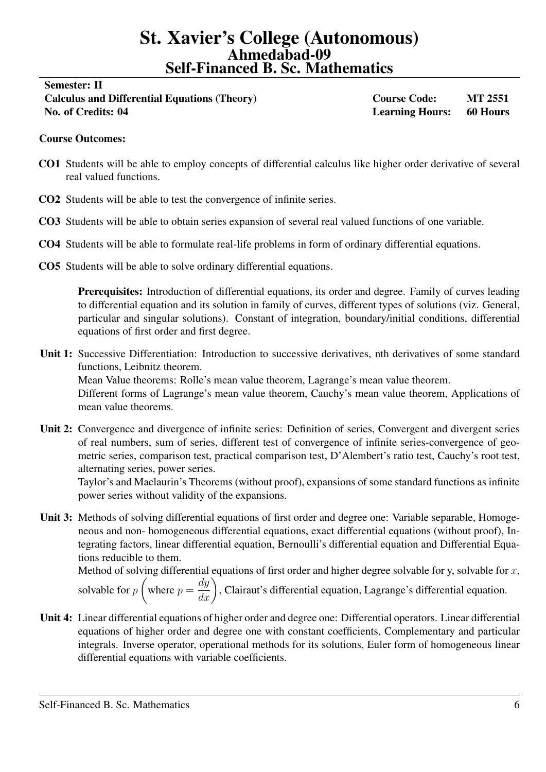# <span id="page-5-0"></span>Semester: II Calculus and Differential Equations (Theory) Course Code: MT 2551 No. of Credits: 04 Learning Hours: 60 Hours

# Course Outcomes:

- CO1 Students will be able to employ concepts of differential calculus like higher order derivative of several real valued functions.
- CO2 Students will be able to test the convergence of infinite series.
- CO3 Students will be able to obtain series expansion of several real valued functions of one variable.
- CO4 Students will be able to formulate real-life problems in form of ordinary differential equations.
- CO5 Students will be able to solve ordinary differential equations.

Prerequisites: Introduction of differential equations, its order and degree. Family of curves leading to differential equation and its solution in family of curves, different types of solutions (viz. General, particular and singular solutions). Constant of integration, boundary/initial conditions, differential equations of first order and first degree.

- Unit 1: Successive Differentiation: Introduction to successive derivatives, nth derivatives of some standard functions, Leibnitz theorem. Mean Value theorems: Rolle's mean value theorem, Lagrange's mean value theorem. Different forms of Lagrange's mean value theorem, Cauchy's mean value theorem, Applications of mean value theorems.
- Unit 2: Convergence and divergence of infinite series: Definition of series, Convergent and divergent series of real numbers, sum of series, different test of convergence of infinite series-convergence of geometric series, comparison test, practical comparison test, D'Alembert's ratio test, Cauchy's root test, alternating series, power series.

Taylor's and Maclaurin's Theorems (without proof), expansions of some standard functions as infinite power series without validity of the expansions.

Unit 3: Methods of solving differential equations of first order and degree one: Variable separable, Homogeneous and non- homogeneous differential equations, exact differential equations (without proof), Integrating factors, linear differential equation, Bernoulli's differential equation and Differential Equations reducible to them.

Method of solving differential equations of first order and higher degree solvable for y, solvable for  $x$ , solvable for  $p$  $\sqrt{ }$ where  $p =$  $\left(\frac{dy}{dx}\right)$ , Clairaut's differential equation, Lagrange's differential equation.

Unit 4: Linear differential equations of higher order and degree one: Differential operators. Linear differential equations of higher order and degree one with constant coefficients, Complementary and particular integrals. Inverse operator, operational methods for its solutions, Euler form of homogeneous linear differential equations with variable coefficients.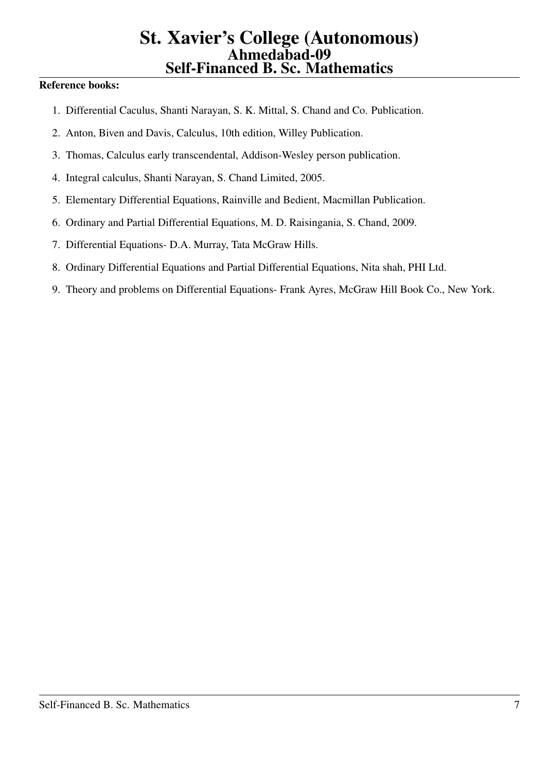- 1. Differential Caculus, Shanti Narayan, S. K. Mittal, S. Chand and Co. Publication.
- 2. Anton, Biven and Davis, Calculus, 10th edition, Willey Publication.
- 3. Thomas, Calculus early transcendental, Addison-Wesley person publication.
- 4. Integral calculus, Shanti Narayan, S. Chand Limited, 2005.
- 5. Elementary Differential Equations, Rainville and Bedient, Macmillan Publication.
- 6. Ordinary and Partial Differential Equations, M. D. Raisingania, S. Chand, 2009.
- 7. Differential Equations- D.A. Murray, Tata McGraw Hills.
- 8. Ordinary Differential Equations and Partial Differential Equations, Nita shah, PHI Ltd.
- 9. Theory and problems on Differential Equations- Frank Ayres, McGraw Hill Book Co., New York.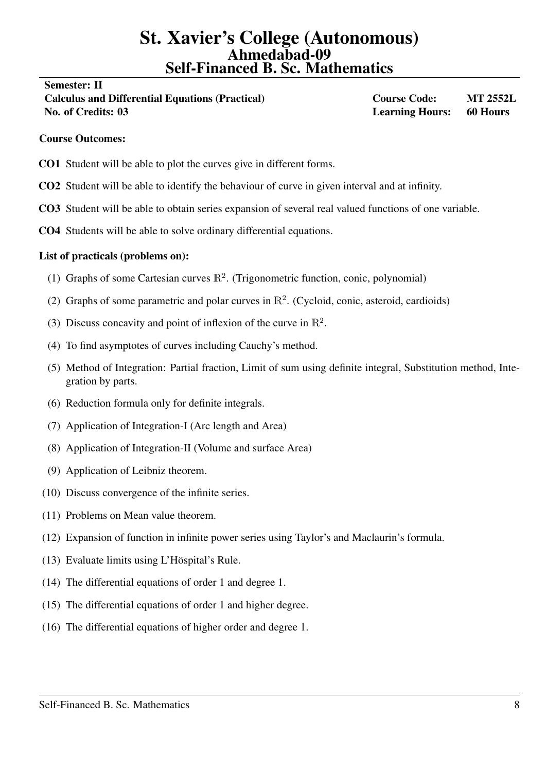#### <span id="page-7-0"></span>Semester: II

Calculus and Differential Equations (Practical) Course Code: MT 2552L No. of Credits: 03 Learning Hours: 60 Hours

#### Course Outcomes:

- CO1 Student will be able to plot the curves give in different forms.
- CO2 Student will be able to identify the behaviour of curve in given interval and at infinity.
- CO3 Student will be able to obtain series expansion of several real valued functions of one variable.
- CO4 Students will be able to solve ordinary differential equations.

# List of practicals (problems on):

- (1) Graphs of some Cartesian curves  $\mathbb{R}^2$ . (Trigonometric function, conic, polynomial)
- (2) Graphs of some parametric and polar curves in  $\mathbb{R}^2$ . (Cycloid, conic, asteroid, cardioids)
- (3) Discuss concavity and point of inflexion of the curve in  $\mathbb{R}^2$ .
- (4) To find asymptotes of curves including Cauchy's method.
- (5) Method of Integration: Partial fraction, Limit of sum using definite integral, Substitution method, Integration by parts.
- (6) Reduction formula only for definite integrals.
- (7) Application of Integration-I (Arc length and Area)
- (8) Application of Integration-II (Volume and surface Area)
- (9) Application of Leibniz theorem.
- (10) Discuss convergence of the infinite series.
- (11) Problems on Mean value theorem.
- (12) Expansion of function in infinite power series using Taylor's and Maclaurin's formula.
- $(13)$  Evaluate limits using L'Höspital's Rule.
- (14) The differential equations of order 1 and degree 1.
- (15) The differential equations of order 1 and higher degree.
- (16) The differential equations of higher order and degree 1.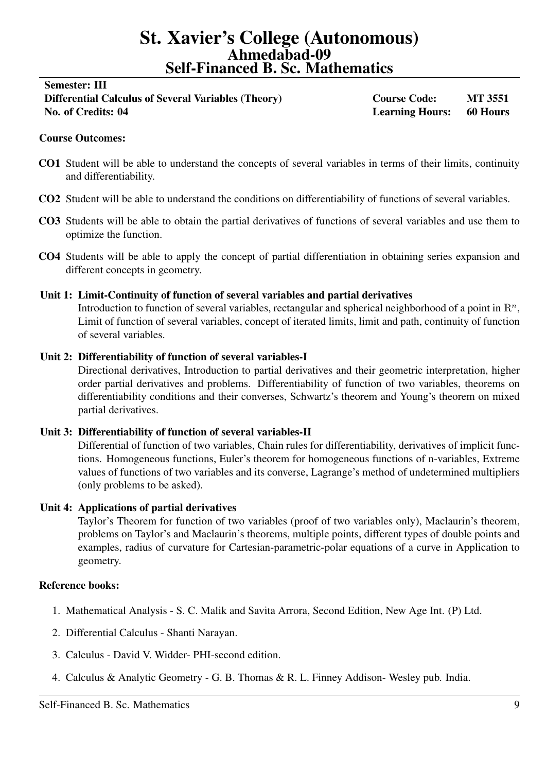# <span id="page-8-0"></span>Semester: III Differential Calculus of Several Variables (Theory) Course Code: MT 3551 No. of Credits: 04 Learning Hours: 60 Hours

# Course Outcomes:

- CO1 Student will be able to understand the concepts of several variables in terms of their limits, continuity and differentiability.
- CO2 Student will be able to understand the conditions on differentiability of functions of several variables.
- CO3 Students will be able to obtain the partial derivatives of functions of several variables and use them to optimize the function.
- CO4 Students will be able to apply the concept of partial differentiation in obtaining series expansion and different concepts in geometry.

# Unit 1: Limit-Continuity of function of several variables and partial derivatives

Introduction to function of several variables, rectangular and spherical neighborhood of a point in  $\mathbb{R}^n$ , Limit of function of several variables, concept of iterated limits, limit and path, continuity of function of several variables.

# Unit 2: Differentiability of function of several variables-I

Directional derivatives, Introduction to partial derivatives and their geometric interpretation, higher order partial derivatives and problems. Differentiability of function of two variables, theorems on differentiability conditions and their converses, Schwartz's theorem and Young's theorem on mixed partial derivatives.

## Unit 3: Differentiability of function of several variables-II

Differential of function of two variables, Chain rules for differentiability, derivatives of implicit functions. Homogeneous functions, Euler's theorem for homogeneous functions of n-variables, Extreme values of functions of two variables and its converse, Lagrange's method of undetermined multipliers (only problems to be asked).

## Unit 4: Applications of partial derivatives

Taylor's Theorem for function of two variables (proof of two variables only), Maclaurin's theorem, problems on Taylor's and Maclaurin's theorems, multiple points, different types of double points and examples, radius of curvature for Cartesian-parametric-polar equations of a curve in Application to geometry.

- 1. Mathematical Analysis S. C. Malik and Savita Arrora, Second Edition, New Age Int. (P) Ltd.
- 2. Differential Calculus Shanti Narayan.
- 3. Calculus David V. Widder- PHI-second edition.
- 4. Calculus & Analytic Geometry G. B. Thomas & R. L. Finney Addison- Wesley pub. India.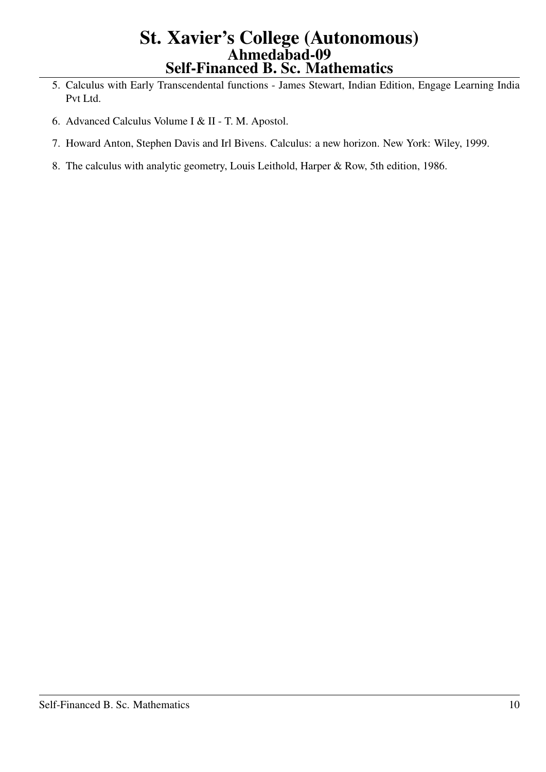- 5. Calculus with Early Transcendental functions James Stewart, Indian Edition, Engage Learning India Pvt Ltd.
- 6. Advanced Calculus Volume I & II T. M. Apostol.
- 7. Howard Anton, Stephen Davis and Irl Bivens. Calculus: a new horizon. New York: Wiley, 1999.
- 8. The calculus with analytic geometry, Louis Leithold, Harper & Row, 5th edition, 1986.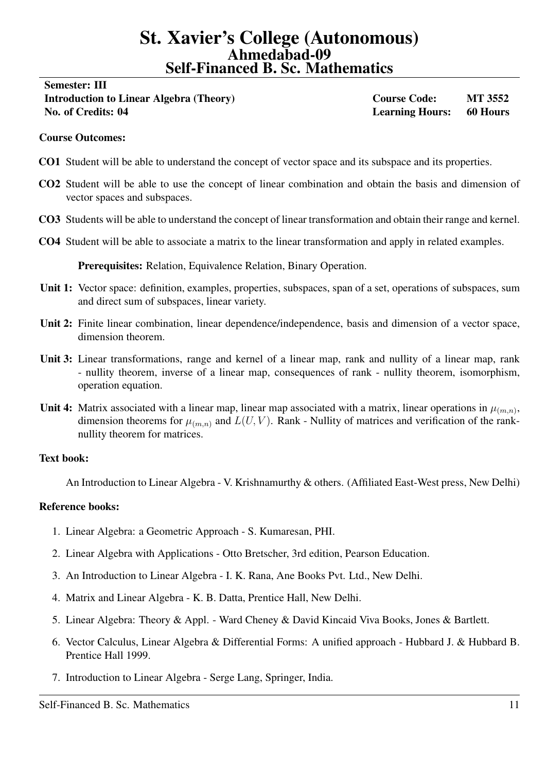# <span id="page-10-0"></span>Semester: III Introduction to Linear Algebra (Theory) Course Code: MT 3552 No. of Credits: 04 Learning Hours: 60 Hours

## Course Outcomes:

- CO1 Student will be able to understand the concept of vector space and its subspace and its properties.
- CO2 Student will be able to use the concept of linear combination and obtain the basis and dimension of vector spaces and subspaces.
- CO3 Students will be able to understand the concept of linear transformation and obtain their range and kernel.
- CO4 Student will be able to associate a matrix to the linear transformation and apply in related examples.

Prerequisites: Relation, Equivalence Relation, Binary Operation.

- Unit 1: Vector space: definition, examples, properties, subspaces, span of a set, operations of subspaces, sum and direct sum of subspaces, linear variety.
- Unit 2: Finite linear combination, linear dependence/independence, basis and dimension of a vector space, dimension theorem.
- Unit 3: Linear transformations, range and kernel of a linear map, rank and nullity of a linear map, rank - nullity theorem, inverse of a linear map, consequences of rank - nullity theorem, isomorphism, operation equation.
- Unit 4: Matrix associated with a linear map, linear map associated with a matrix, linear operations in  $\mu_{(m,n)}$ , dimension theorems for  $\mu_{(m,n)}$  and  $L(U, V)$ . Rank - Nullity of matrices and verification of the ranknullity theorem for matrices.

#### Text book:

An Introduction to Linear Algebra - V. Krishnamurthy & others. (Affiliated East-West press, New Delhi)

- 1. Linear Algebra: a Geometric Approach S. Kumaresan, PHI.
- 2. Linear Algebra with Applications Otto Bretscher, 3rd edition, Pearson Education.
- 3. An Introduction to Linear Algebra I. K. Rana, Ane Books Pvt. Ltd., New Delhi.
- 4. Matrix and Linear Algebra K. B. Datta, Prentice Hall, New Delhi.
- 5. Linear Algebra: Theory & Appl. Ward Cheney & David Kincaid Viva Books, Jones & Bartlett.
- 6. Vector Calculus, Linear Algebra & Differential Forms: A unified approach Hubbard J. & Hubbard B. Prentice Hall 1999.
- 7. Introduction to Linear Algebra Serge Lang, Springer, India.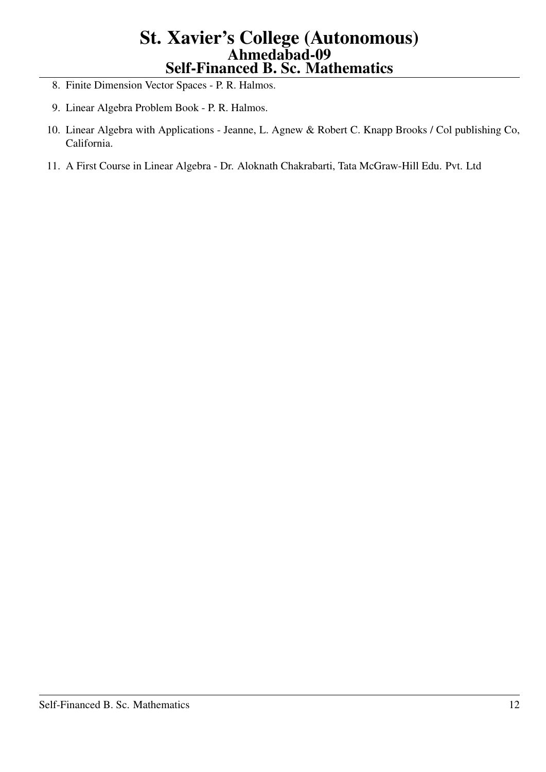- 8. Finite Dimension Vector Spaces P. R. Halmos.
- 9. Linear Algebra Problem Book P. R. Halmos.
- 10. Linear Algebra with Applications Jeanne, L. Agnew & Robert C. Knapp Brooks / Col publishing Co, California.
- 11. A First Course in Linear Algebra Dr. Aloknath Chakrabarti, Tata McGraw-Hill Edu. Pvt. Ltd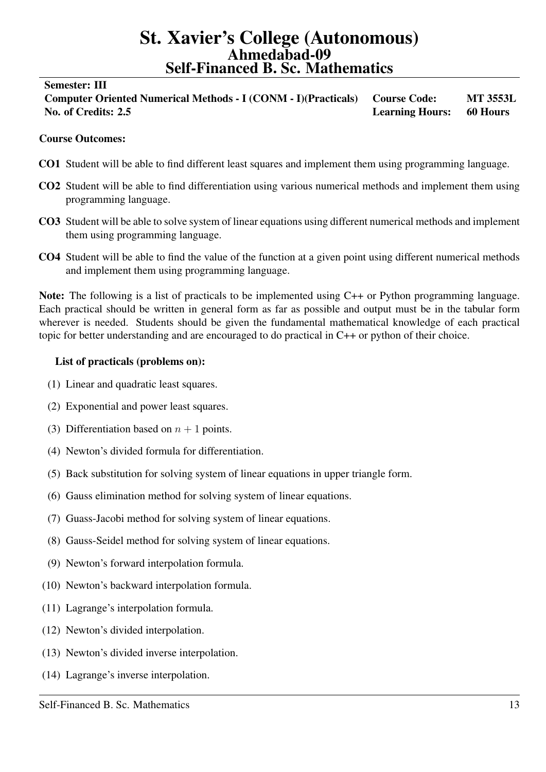#### <span id="page-12-0"></span>Semester: III

Computer Oriented Numerical Methods - I (CONM - I)(Practicals) Course Code: MT 3553L No. of Credits: 2.5 Learning Hours: 60 Hours

## Course Outcomes:

- CO1 Student will be able to find different least squares and implement them using programming language.
- CO2 Student will be able to find differentiation using various numerical methods and implement them using programming language.
- CO3 Student will be able to solve system of linear equations using different numerical methods and implement them using programming language.
- CO4 Student will be able to find the value of the function at a given point using different numerical methods and implement them using programming language.

Note: The following is a list of practicals to be implemented using C++ or Python programming language. Each practical should be written in general form as far as possible and output must be in the tabular form wherever is needed. Students should be given the fundamental mathematical knowledge of each practical topic for better understanding and are encouraged to do practical in C++ or python of their choice.

#### List of practicals (problems on):

- (1) Linear and quadratic least squares.
- (2) Exponential and power least squares.
- (3) Differentiation based on  $n + 1$  points.
- (4) Newton's divided formula for differentiation.
- (5) Back substitution for solving system of linear equations in upper triangle form.
- (6) Gauss elimination method for solving system of linear equations.
- (7) Guass-Jacobi method for solving system of linear equations.
- (8) Gauss-Seidel method for solving system of linear equations.
- (9) Newton's forward interpolation formula.
- (10) Newton's backward interpolation formula.
- (11) Lagrange's interpolation formula.
- (12) Newton's divided interpolation.
- (13) Newton's divided inverse interpolation.
- (14) Lagrange's inverse interpolation.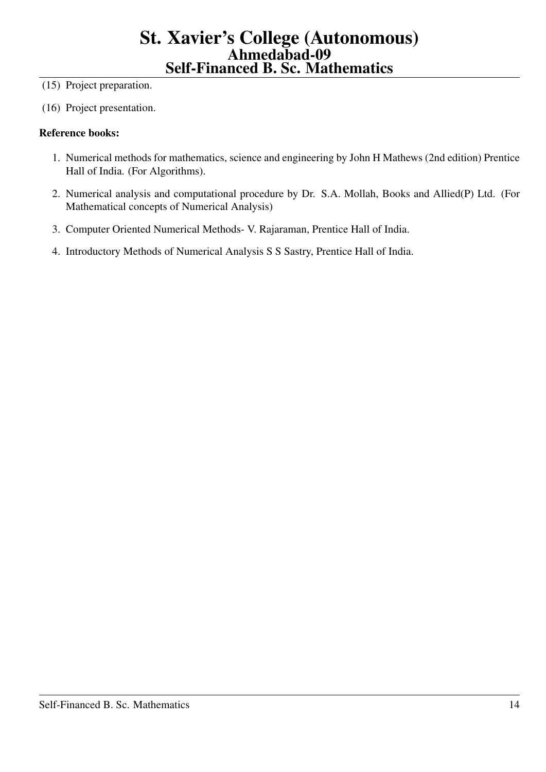(15) Project preparation.

(16) Project presentation.

- 1. Numerical methods for mathematics, science and engineering by John H Mathews (2nd edition) Prentice Hall of India. (For Algorithms).
- 2. Numerical analysis and computational procedure by Dr. S.A. Mollah, Books and Allied(P) Ltd. (For Mathematical concepts of Numerical Analysis)
- 3. Computer Oriented Numerical Methods- V. Rajaraman, Prentice Hall of India.
- 4. Introductory Methods of Numerical Analysis S S Sastry, Prentice Hall of India.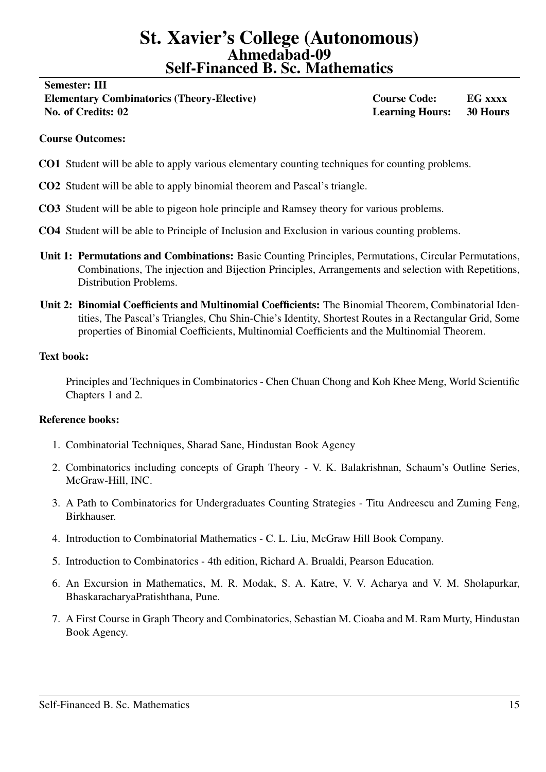#### <span id="page-14-0"></span>Semester: III

Elementary Combinatorics (Theory-Elective) Course Code: EG xxxx No. of Credits: 02 Learning Hours: 30 Hours

#### Course Outcomes:

- CO1 Student will be able to apply various elementary counting techniques for counting problems.
- CO2 Student will be able to apply binomial theorem and Pascal's triangle.
- CO3 Student will be able to pigeon hole principle and Ramsey theory for various problems.
- CO4 Student will be able to Principle of Inclusion and Exclusion in various counting problems.
- Unit 1: Permutations and Combinations: Basic Counting Principles, Permutations, Circular Permutations, Combinations, The injection and Bijection Principles, Arrangements and selection with Repetitions, Distribution Problems.
- Unit 2: Binomial Coefficients and Multinomial Coefficients: The Binomial Theorem, Combinatorial Identities, The Pascal's Triangles, Chu Shin-Chie's Identity, Shortest Routes in a Rectangular Grid, Some properties of Binomial Coefficients, Multinomial Coefficients and the Multinomial Theorem.

## Text book:

Principles and Techniques in Combinatorics - Chen Chuan Chong and Koh Khee Meng, World Scientific Chapters 1 and 2.

- 1. Combinatorial Techniques, Sharad Sane, Hindustan Book Agency
- 2. Combinatorics including concepts of Graph Theory V. K. Balakrishnan, Schaum's Outline Series, McGraw-Hill, INC.
- 3. A Path to Combinatorics for Undergraduates Counting Strategies Titu Andreescu and Zuming Feng, Birkhauser.
- 4. Introduction to Combinatorial Mathematics C. L. Liu, McGraw Hill Book Company.
- 5. Introduction to Combinatorics 4th edition, Richard A. Brualdi, Pearson Education.
- 6. An Excursion in Mathematics, M. R. Modak, S. A. Katre, V. V. Acharya and V. M. Sholapurkar, BhaskaracharyaPratishthana, Pune.
- 7. A First Course in Graph Theory and Combinatorics, Sebastian M. Cioaba and M. Ram Murty, Hindustan Book Agency.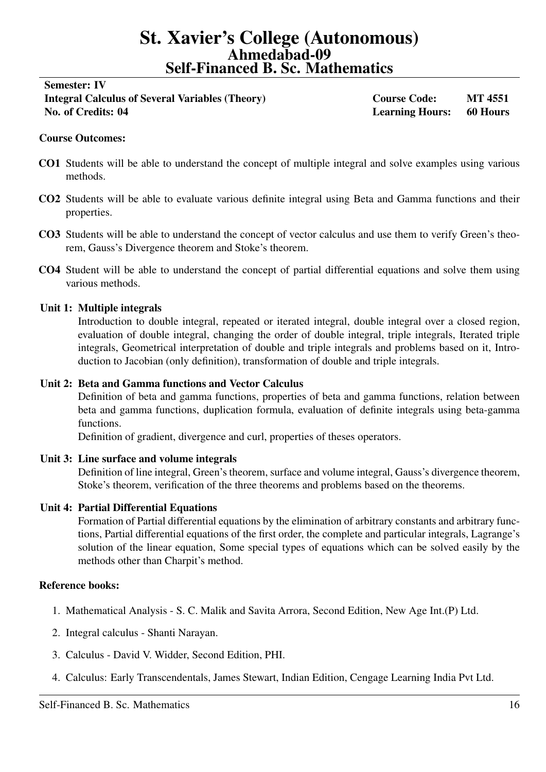# <span id="page-15-0"></span>Semester: IV Integral Calculus of Several Variables (Theory) Course Code: MT 4551 No. of Credits: 04 Learning Hours: 60 Hours

# Course Outcomes:

- CO1 Students will be able to understand the concept of multiple integral and solve examples using various methods.
- CO2 Students will be able to evaluate various definite integral using Beta and Gamma functions and their properties.
- CO3 Students will be able to understand the concept of vector calculus and use them to verify Green's theorem, Gauss's Divergence theorem and Stoke's theorem.
- CO4 Student will be able to understand the concept of partial differential equations and solve them using various methods.

## Unit 1: Multiple integrals

Introduction to double integral, repeated or iterated integral, double integral over a closed region, evaluation of double integral, changing the order of double integral, triple integrals, Iterated triple integrals, Geometrical interpretation of double and triple integrals and problems based on it, Introduction to Jacobian (only definition), transformation of double and triple integrals.

## Unit 2: Beta and Gamma functions and Vector Calculus

Definition of beta and gamma functions, properties of beta and gamma functions, relation between beta and gamma functions, duplication formula, evaluation of definite integrals using beta-gamma functions.

Definition of gradient, divergence and curl, properties of theses operators.

## Unit 3: Line surface and volume integrals

Definition of line integral, Green's theorem, surface and volume integral, Gauss's divergence theorem, Stoke's theorem, verification of the three theorems and problems based on the theorems.

## Unit 4: Partial Differential Equations

Formation of Partial differential equations by the elimination of arbitrary constants and arbitrary functions, Partial differential equations of the first order, the complete and particular integrals, Lagrange's solution of the linear equation, Some special types of equations which can be solved easily by the methods other than Charpit's method.

- 1. Mathematical Analysis S. C. Malik and Savita Arrora, Second Edition, New Age Int.(P) Ltd.
- 2. Integral calculus Shanti Narayan.
- 3. Calculus David V. Widder, Second Edition, PHI.
- 4. Calculus: Early Transcendentals, James Stewart, Indian Edition, Cengage Learning India Pvt Ltd.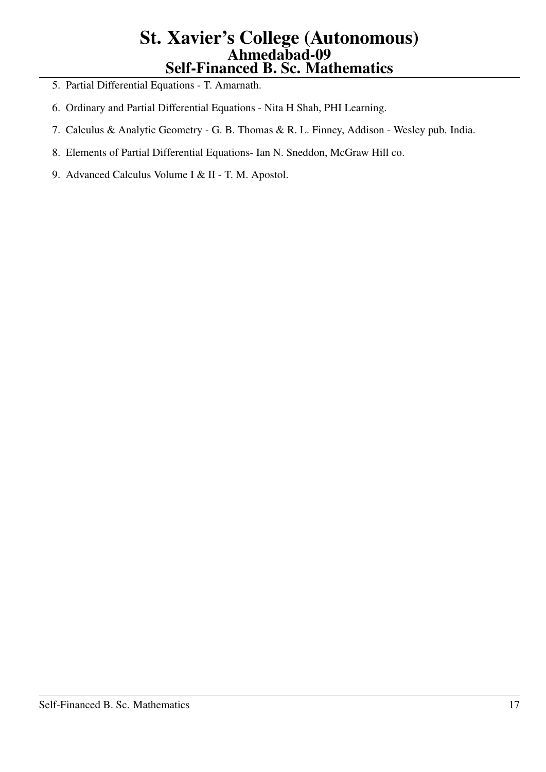- 5. Partial Differential Equations T. Amarnath.
- 6. Ordinary and Partial Differential Equations Nita H Shah, PHI Learning.
- 7. Calculus & Analytic Geometry G. B. Thomas & R. L. Finney, Addison Wesley pub. India.
- 8. Elements of Partial Differential Equations- Ian N. Sneddon, McGraw Hill co.
- 9. Advanced Calculus Volume I & II T. M. Apostol.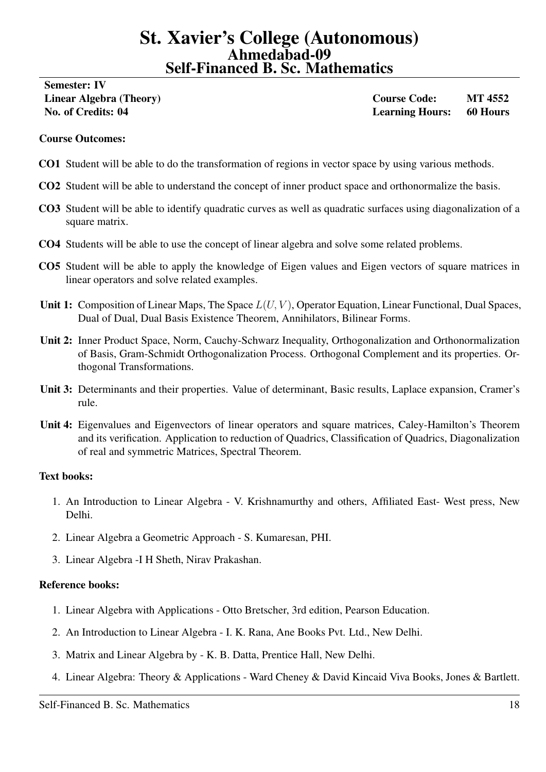# <span id="page-17-0"></span>Semester: IV

Linear Algebra (Theory) Course Code: MT 4552 No. of Credits: 04 Learning Hours: 60 Hours

## Course Outcomes:

- CO1 Student will be able to do the transformation of regions in vector space by using various methods.
- CO2 Student will be able to understand the concept of inner product space and orthonormalize the basis.
- CO3 Student will be able to identify quadratic curves as well as quadratic surfaces using diagonalization of a square matrix.
- CO4 Students will be able to use the concept of linear algebra and solve some related problems.
- CO5 Student will be able to apply the knowledge of Eigen values and Eigen vectors of square matrices in linear operators and solve related examples.
- Unit 1: Composition of Linear Maps, The Space  $L(U, V)$ , Operator Equation, Linear Functional, Dual Spaces, Dual of Dual, Dual Basis Existence Theorem, Annihilators, Bilinear Forms.
- Unit 2: Inner Product Space, Norm, Cauchy-Schwarz Inequality, Orthogonalization and Orthonormalization of Basis, Gram-Schmidt Orthogonalization Process. Orthogonal Complement and its properties. Orthogonal Transformations.
- Unit 3: Determinants and their properties. Value of determinant, Basic results, Laplace expansion, Cramer's rule.
- Unit 4: Eigenvalues and Eigenvectors of linear operators and square matrices, Caley-Hamilton's Theorem and its verification. Application to reduction of Quadrics, Classification of Quadrics, Diagonalization of real and symmetric Matrices, Spectral Theorem.

## Text books:

- 1. An Introduction to Linear Algebra V. Krishnamurthy and others, Affiliated East- West press, New Delhi.
- 2. Linear Algebra a Geometric Approach S. Kumaresan, PHI.
- 3. Linear Algebra -I H Sheth, Nirav Prakashan.

- 1. Linear Algebra with Applications Otto Bretscher, 3rd edition, Pearson Education.
- 2. An Introduction to Linear Algebra I. K. Rana, Ane Books Pvt. Ltd., New Delhi.
- 3. Matrix and Linear Algebra by K. B. Datta, Prentice Hall, New Delhi.
- 4. Linear Algebra: Theory & Applications Ward Cheney & David Kincaid Viva Books, Jones & Bartlett.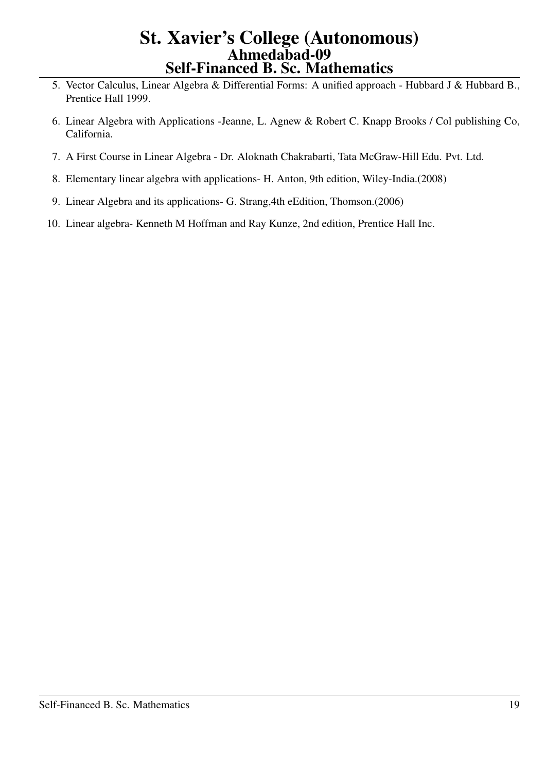- 5. Vector Calculus, Linear Algebra & Differential Forms: A unified approach Hubbard J & Hubbard B., Prentice Hall 1999.
- 6. Linear Algebra with Applications -Jeanne, L. Agnew & Robert C. Knapp Brooks / Col publishing Co, California.
- 7. A First Course in Linear Algebra Dr. Aloknath Chakrabarti, Tata McGraw-Hill Edu. Pvt. Ltd.
- 8. Elementary linear algebra with applications- H. Anton, 9th edition, Wiley-India.(2008)
- 9. Linear Algebra and its applications- G. Strang,4th eEdition, Thomson.(2006)
- 10. Linear algebra- Kenneth M Hoffman and Ray Kunze, 2nd edition, Prentice Hall Inc.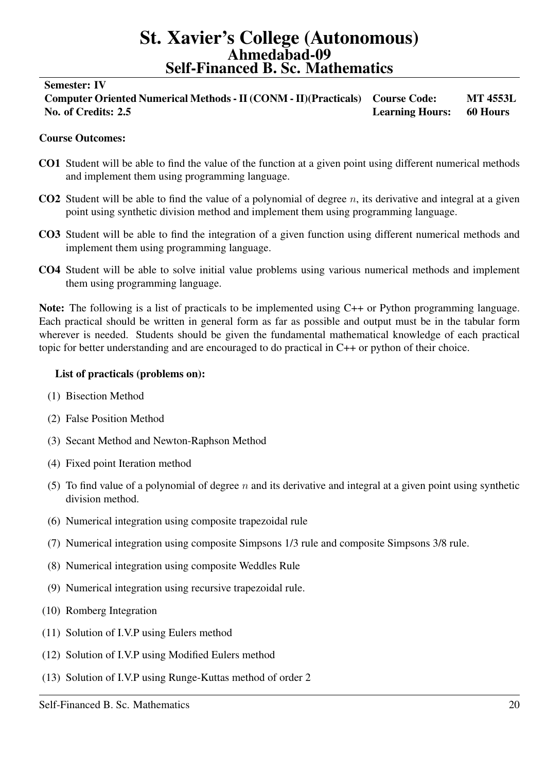#### <span id="page-19-0"></span>Semester: IV

Computer Oriented Numerical Methods - II (CONM - II)(Practicals) Course Code: MT 4553L No. of Credits: 2.5 Learning Hours: 60 Hours

### Course Outcomes:

- CO1 Student will be able to find the value of the function at a given point using different numerical methods and implement them using programming language.
- CO2 Student will be able to find the value of a polynomial of degree  $n$ , its derivative and integral at a given point using synthetic division method and implement them using programming language.
- CO3 Student will be able to find the integration of a given function using different numerical methods and implement them using programming language.
- CO4 Student will be able to solve initial value problems using various numerical methods and implement them using programming language.

Note: The following is a list of practicals to be implemented using C++ or Python programming language. Each practical should be written in general form as far as possible and output must be in the tabular form wherever is needed. Students should be given the fundamental mathematical knowledge of each practical topic for better understanding and are encouraged to do practical in C++ or python of their choice.

#### List of practicals (problems on):

- (1) Bisection Method
- (2) False Position Method
- (3) Secant Method and Newton-Raphson Method
- (4) Fixed point Iteration method
- (5) To find value of a polynomial of degree  $n$  and its derivative and integral at a given point using synthetic division method.
- (6) Numerical integration using composite trapezoidal rule
- (7) Numerical integration using composite Simpsons 1/3 rule and composite Simpsons 3/8 rule.
- (8) Numerical integration using composite Weddles Rule
- (9) Numerical integration using recursive trapezoidal rule.
- (10) Romberg Integration
- (11) Solution of I.V.P using Eulers method
- (12) Solution of I.V.P using Modified Eulers method
- (13) Solution of I.V.P using Runge-Kuttas method of order 2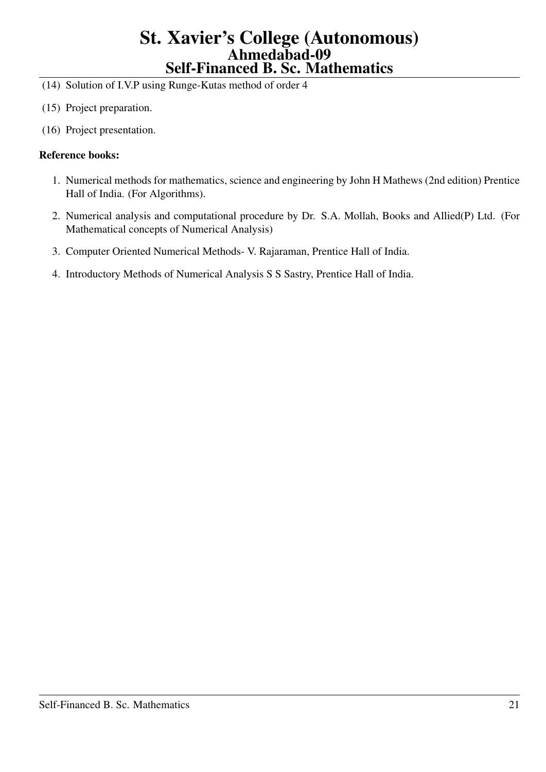- (14) Solution of I.V.P using Runge-Kutas method of order 4
- (15) Project preparation.
- (16) Project presentation.

- 1. Numerical methods for mathematics, science and engineering by John H Mathews (2nd edition) Prentice Hall of India. (For Algorithms).
- 2. Numerical analysis and computational procedure by Dr. S.A. Mollah, Books and Allied(P) Ltd. (For Mathematical concepts of Numerical Analysis)
- 3. Computer Oriented Numerical Methods- V. Rajaraman, Prentice Hall of India.
- 4. Introductory Methods of Numerical Analysis S S Sastry, Prentice Hall of India.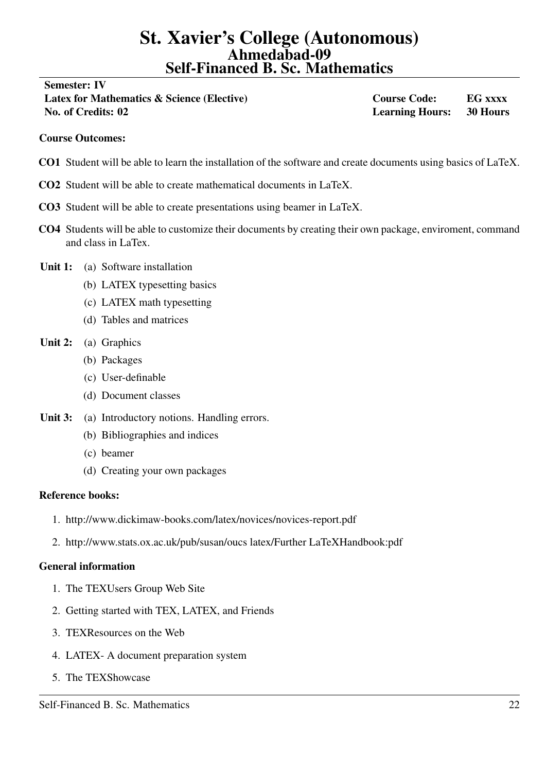<span id="page-21-0"></span>Semester: IV

Latex for Mathematics & Science (Elective) Course Code: EG xxxx No. of Credits: 02 Learning Hours: 30 Hours

### Course Outcomes:

- CO1 Student will be able to learn the installation of the software and create documents using basics of LaTeX.
- CO2 Student will be able to create mathematical documents in LaTeX.
- CO3 Student will be able to create presentations using beamer in LaTeX.
- CO4 Students will be able to customize their documents by creating their own package, enviroment, command and class in LaTex.
- Unit 1: (a) Software installation
	- (b) LATEX typesetting basics
	- (c) LATEX math typesetting
	- (d) Tables and matrices
- Unit 2: (a) Graphics
	- (b) Packages
	- (c) User-definable
	- (d) Document classes
- Unit 3: (a) Introductory notions. Handling errors.
	- (b) Bibliographies and indices
	- (c) beamer
	- (d) Creating your own packages

#### Reference books:

- 1. http://www.dickimaw-books.com/latex/novices/novices-report.pdf
- 2. http://www.stats.ox.ac.uk/pub/susan/oucs latex/Further LaTeXHandbook:pdf

## General information

- 1. The TEXUsers Group Web Site
- 2. Getting started with TEX, LATEX, and Friends
- 3. TEXResources on the Web
- 4. LATEX- A document preparation system
- 5. The TEXShowcase

Self-Financed B. Sc. Mathematics 22